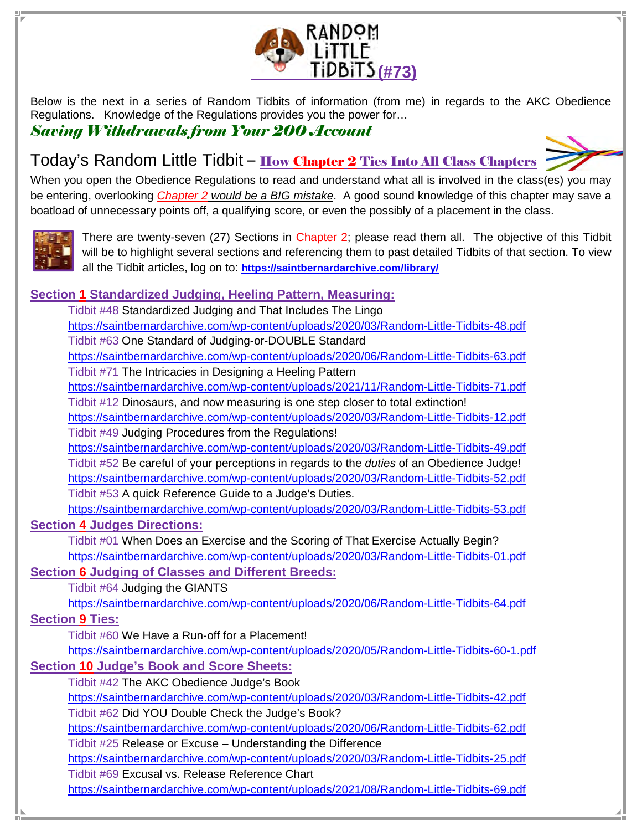

Below is the next in a series of Random Tidbits of information (from me) in regards to the AKC Obedience Regulations. Knowledge of the Regulations provides you the power for…

## Saving Withdrawals from Your 200 Account



# Today's Random Little Tidbit - How Chapter 2 Ties Into All Class Chapters

When you open the Obedience Regulations to read and understand what all is involved in the class(es) you may be entering, overlooking Chapter 2 would be a BIG mistake. A good sound knowledge of this chapter may save a boatload of unnecessary points off, a qualifying score, or even the possibly of a placement in the class.



There are twenty-seven (27) Sections in Chapter 2; please read them all. The objective of this Tidbit will be to highlight several sections and referencing them to past detailed Tidbits of that section. To view all the Tidbit articles, log on to: **https://saintbernardarchive.com/library/**

### **Section 1 Standardized Judging, Heeling Pattern, Measuring:**

 Tidbit #48 Standardized Judging and That Includes The Lingo https://saintbernardarchive.com/wp-content/uploads/2020/03/Random-Little-Tidbits-48.pdf Tidbit #63 One Standard of Judging-or-DOUBLE Standard https://saintbernardarchive.com/wp-content/uploads/2020/06/Random-Little-Tidbits-63.pdf Tidbit #71 The Intricacies in Designing a Heeling Pattern https://saintbernardarchive.com/wp-content/uploads/2021/11/Random-Little-Tidbits-71.pdf Tidbit #12 Dinosaurs, and now measuring is one step closer to total extinction! https://saintbernardarchive.com/wp-content/uploads/2020/03/Random-Little-Tidbits-12.pdf Tidbit #49 Judging Procedures from the Regulations! https://saintbernardarchive.com/wp-content/uploads/2020/03/Random-Little-Tidbits-49.pdf Tidbit #52 Be careful of your perceptions in regards to the duties of an Obedience Judge! https://saintbernardarchive.com/wp-content/uploads/2020/03/Random-Little-Tidbits-52.pdf

Tidbit #53 A quick Reference Guide to a Judge's Duties.

https://saintbernardarchive.com/wp-content/uploads/2020/03/Random-Little-Tidbits-53.pdf

### **Section 4 Judges Directions:**

Tidbit #01 When Does an Exercise and the Scoring of That Exercise Actually Begin? https://saintbernardarchive.com/wp-content/uploads/2020/03/Random-Little-Tidbits-01.pdf

### **Section 6 Judging of Classes and Different Breeds:**

Tidbit #64 Judging the GIANTS

https://saintbernardarchive.com/wp-content/uploads/2020/06/Random-Little-Tidbits-64.pdf

**Section 9 Ties:**

Tidbit #60 We Have a Run-off for a Placement!

https://saintbernardarchive.com/wp-content/uploads/2020/05/Random-Little-Tidbits-60-1.pdf **Section 10 Judge's Book and Score Sheets:** 

Tidbit #42 The AKC Obedience Judge's Book

https://saintbernardarchive.com/wp-content/uploads/2020/03/Random-Little-Tidbits-42.pdf Tidbit #62 Did YOU Double Check the Judge's Book?

https://saintbernardarchive.com/wp-content/uploads/2020/06/Random-Little-Tidbits-62.pdf Tidbit #25 Release or Excuse – Understanding the Difference

https://saintbernardarchive.com/wp-content/uploads/2020/03/Random-Little-Tidbits-25.pdf Tidbit #69 Excusal vs. Release Reference Chart

https://saintbernardarchive.com/wp-content/uploads/2021/08/Random-Little-Tidbits-69.pdf